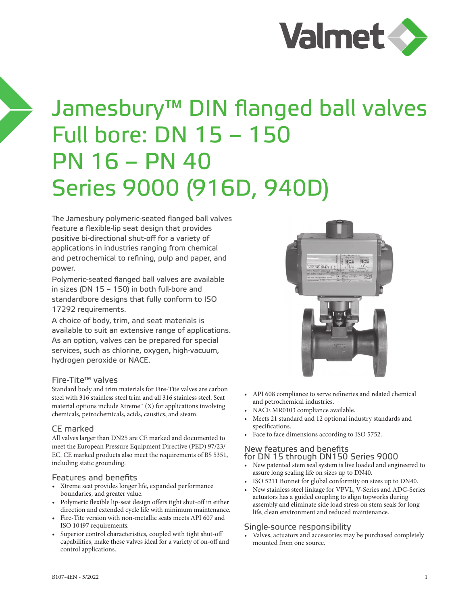

## Jamesbury™ DIN flanged ball valves Full bore: DN 15 – 150 PN 16 – PN 40 Series 9000 (916D, 940D)

The Jamesbury polymeric-seated flanged ball valves feature a flexible-lip seat design that provides positive bi-directional shut-off for a variety of applications in industries ranging from chemical and petrochemical to refining, pulp and paper, and power.

Polymeric-seated flanged ball valves are available in sizes (DN 15 – 150) in both full-bore and standardbore designs that fully conform to ISO 17292 requirements.

A choice of body, trim, and seat materials is available to suit an extensive range of applications. As an option, valves can be prepared for special services, such as chlorine, oxygen, high-vacuum, hydrogen peroxide or NACE.

#### Fire-Tite™ valves

Standard body and trim materials for Fire-Tite valves are carbon steel with 316 stainless steel trim and all 316 stainless steel. Seat material options include Xtreme<sup>™</sup> (X) for applications involving chemicals, petrochemicals, acids, caustics, and steam.

#### CE marked

All valves larger than DN25 are CE marked and documented to meet the European Pressure Equipment Directive (PED) 97/23/ EC. CE marked products also meet the requirements of BS 5351, including static grounding.

#### Features and benefits

- Xtreme seat provides longer life, expanded performance boundaries, and greater value.
- Polymeric flexible lip-seat design offers tight shut-off in either direction and extended cycle life with minimum maintenance.
- Fire-Tite version with non-metallic seats meets API 607 and ISO 10497 requirements.
- Superior control characteristics, coupled with tight shut-off capabilities, make these valves ideal for a variety of on-off and control applications.



- API 608 compliance to serve refineries and related chemical and petrochemical industries.
- NACE MR0103 compliance available.
- Meets 21 standard and 12 optional industry standards and specifications.
- Face to face dimensions according to ISO 5752.

#### New features and benefits for DN 15 through DN150 Series 9000

- New patented stem seal system is live loaded and engineered to assure long sealing life on sizes up to DN40.
- ISO 5211 Bonnet for global conformity on sizes up to DN40.
- New stainless steel linkage for VPVL, V-Series and ADC-Series actuators has a guided coupling to align topworks during assembly and eliminate side load stress on stem seals for long life, clean environment and reduced maintenance.

#### Single-source responsibility

• Valves, actuators and accessories may be purchased completely mounted from one source.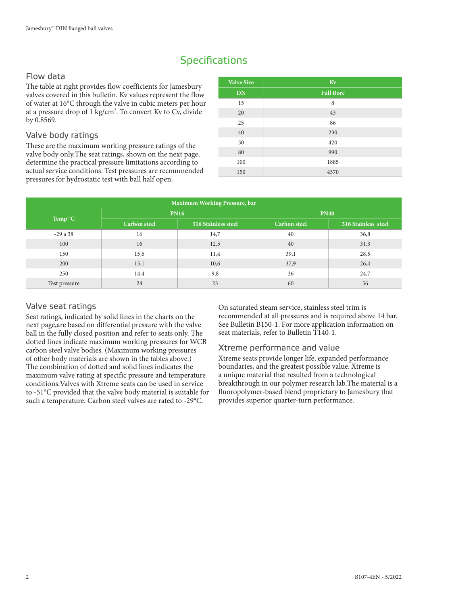## **Specifications**

#### Flow data

The table at right provides flow coefficients for Jamesbury valves covered in this bulletin. Kv values represent the flow of water at 16°C through the valve in cubic meters per hour at a pressure drop of 1 kg/cm<sup>2</sup>. To convert Kv to Cv, divide by 0.8569.

#### Valve body ratings

These are the maximum working pressure ratings of the valve body only.The seat ratings, shown on the next page, determine the practical pressure limitations according to actual service conditions. Test pressures are recommended pressures for hydrostatic test with ball half open.

| <b>Valve Size</b> | Kv               |
|-------------------|------------------|
| <b>DN</b>         | <b>Full Bore</b> |
| 15                | 8                |
| 20                | 43               |
| 25                | 86               |
| 40                | 230              |
| 50                | 420              |
| 80                | 990              |
| 100               | 1885             |
| 150               | 4370             |

|                   | Maximum Working Pressure, bar |                     |                     |                     |  |  |  |  |  |  |  |  |  |  |
|-------------------|-------------------------------|---------------------|---------------------|---------------------|--|--|--|--|--|--|--|--|--|--|
|                   |                               | <b>PN16</b>         | <b>PN40</b>         |                     |  |  |  |  |  |  |  |  |  |  |
| Temp $\mathrm{C}$ | <b>Carbon</b> steel           | 316 Stainless steel | <b>Carbon</b> steel | 316 Stainless steel |  |  |  |  |  |  |  |  |  |  |
| $-29a38$          | 16                            | 14,7                | 40                  | 36,8                |  |  |  |  |  |  |  |  |  |  |
| 100               | 16                            | 12,5                | 40                  | 31,3                |  |  |  |  |  |  |  |  |  |  |
| 150               | 15,6                          | 11,4                | 39,1                | 28,5                |  |  |  |  |  |  |  |  |  |  |
| 200               | 15,1                          | 10,6                | 37,9                | 26,4                |  |  |  |  |  |  |  |  |  |  |
| 250               | 14,4                          | 9,8                 | 36                  | 24,7                |  |  |  |  |  |  |  |  |  |  |
| Test pressure     | 24                            | 23                  | 60                  | 56                  |  |  |  |  |  |  |  |  |  |  |

## Valve seat ratings

Seat ratings, indicated by solid lines in the charts on the next page,are based on differential pressure with the valve ball in the fully closed position and refer to seats only. The dotted lines indicate maximum working pressures for WCB carbon steel valve bodies. (Maximum working pressures of other body materials are shown in the tables above.) The combination of dotted and solid lines indicates the maximum valve rating at specific pressure and temperature conditions.Valves with Xtreme seats can be used in service to -51°C provided that the valve body material is suitable for such a temperature. Carbon steel valves are rated to -29°C.

On saturated steam service, stainless steel trim is recommended at all pressures and is required above 14 bar. See Bulletin B150-1. For more application information on seat materials, refer to Bulletin T140-1.

#### Xtreme performance and value

Xtreme seats provide longer life, expanded performance boundaries, and the greatest possible value. Xtreme is a unique material that resulted from a technological breakthrough in our polymer research lab.The material is a fluoropolymer-based blend proprietary to Jamesbury that provides superior quarter-turn performance.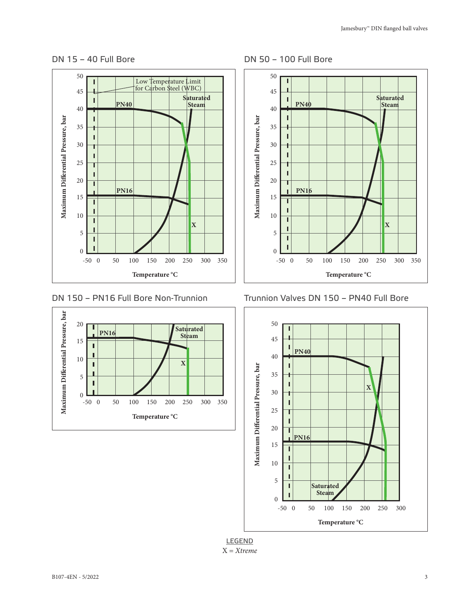$DN 15 - 40$  Full Bore







DN 50 – 100 Full Bore 50 50



## Trunnion Valves DN 150 – PN40 Full Bore



LEGEND X = *Xtreme*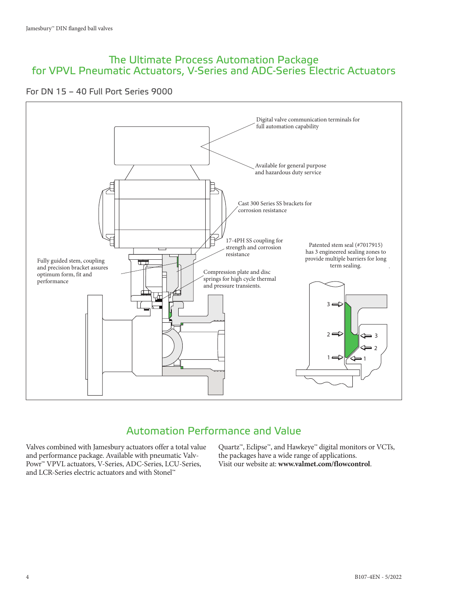## The Ultimate Process Automation Package for VPVL Pneumatic Actuators, V-Series and ADC-Series Electric Actuators

## For DN 15 – 40 Full Port Series 9000



## Automation Performance and Value

Valves combined with Jamesbury actuators offer a total value and performance package. Available with pneumatic Valv-Powr™ VPVL actuators, V-Series, ADC-Series, LCU-Series, and LCR-Series electric actuators and with Stonel™

Quartz™, Eclipse™, and Hawkeye™ digital monitors or VCTs, the packages have a wide range of applications. Visit our website at: **www.valmet.com/flowcontrol**.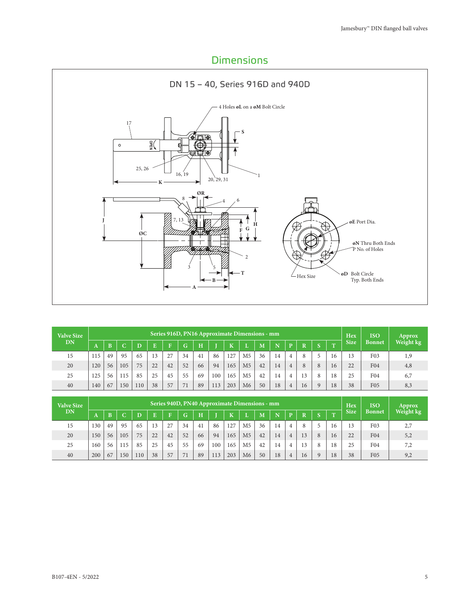## **Dimensions**



| <b>Valve Size</b> | Series 916D, PN16 Approximate Dimensions - mm |    |     |     |    |    |    |    |     |     |                |    |    |                |    | <b>Hex</b>                  | <b>ISO</b>   | Approx      |                 |           |
|-------------------|-----------------------------------------------|----|-----|-----|----|----|----|----|-----|-----|----------------|----|----|----------------|----|-----------------------------|--------------|-------------|-----------------|-----------|
| <b>DN</b>         | A                                             |    |     | D   |    |    | G  | H  |     |     |                | M  | N  |                |    |                             | $\mathbf{m}$ | <b>Size</b> | <b>Bonnet</b>   | Weight kg |
| 15                | 115                                           | 49 | 95  | 65  | 13 | 27 | 34 | 41 | 86  | 127 | M <sub>5</sub> | 36 | 14 | 4              | 8  |                             | 16           | 13          | F03             | 1,9       |
| 20                | 120                                           | 56 | 105 | 75  | 22 | 42 | 52 | 66 | 94  | 165 | M <sub>5</sub> | 42 | 14 | 4              | 8  | $\mathcal{S}_{\mathcal{S}}$ | 16           | 22          | F04             | 4,8       |
| 25                | 125                                           | 56 | 115 | 85  | 25 | 45 | 55 | 69 | 100 | 165 | M <sub>5</sub> | 42 | 14 | 4              | 13 | 8                           | 18           | 25          | F <sub>04</sub> | 6,7       |
| 40                | 140                                           | 67 | 150 | 110 | 38 | 57 | 71 | 89 | 113 | 203 | M <sub>6</sub> | 50 | 18 | $\overline{4}$ | 16 |                             | 18           | 38          | F <sub>05</sub> | 8,3       |

| <b>Valve Size</b> | Series 940D, PN40 Approximate Dimensions - mm |    |     |     |    |    |    |    |     |     |                |    |    |   |    | Hex | <b>ISO</b> | <b>Approx</b> |                  |           |
|-------------------|-----------------------------------------------|----|-----|-----|----|----|----|----|-----|-----|----------------|----|----|---|----|-----|------------|---------------|------------------|-----------|
| <b>DN</b>         | $\mathbf{A}$                                  |    |     |     |    |    | G. | H  |     |     |                | M  | N  | P | R  |     | m          | <b>Size</b>   | <b>Bonnet</b>    | Weight kg |
| 15                | 130                                           | 49 | 95  | 65  | 13 | 27 | 34 | 41 | 86  | 127 | M <sub>5</sub> | 36 | 14 | 4 | 8  |     | 16         | 13            | F <sub>0</sub> 3 | 2,7       |
| 20                | 150                                           | 56 | 105 | 75  | 22 | 42 | 52 | 66 | 94  | 165 | M <sub>5</sub> | 42 | 14 | 4 | 13 |     | 16         | 22            | F <sub>04</sub>  | 5,2       |
| 25                | 160                                           | 56 | 115 | 85  | 25 | 45 | 55 | 69 | 100 | 165 | M <sub>5</sub> | 42 | 14 | 4 | 13 |     | 18         | 25            | F04              | 7,2       |
| 40                | 200                                           | 67 | 150 | 110 | 38 | 57 | 71 | 89 | 113 | 203 | M <sub>6</sub> | 50 | 18 | 4 | 16 |     | 18         | 38            | F <sub>05</sub>  | 9,2       |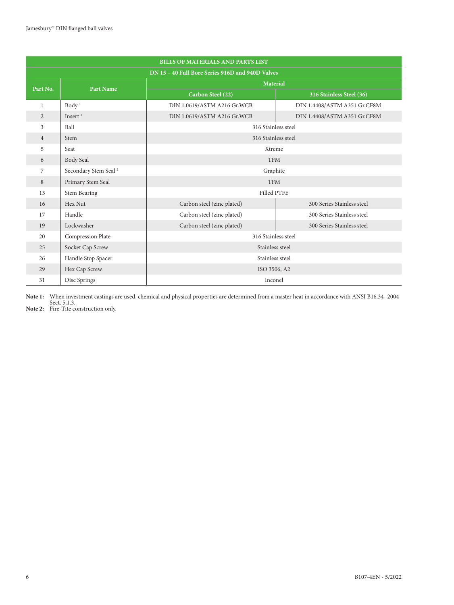|                |                                  | <b>BILLS OF MATERIALS AND PARTS LIST</b>         |                              |
|----------------|----------------------------------|--------------------------------------------------|------------------------------|
|                |                                  | DN 15 - 40 Full Bore Series 916D and 940D Valves |                              |
| Part No.       | <b>Part Name</b>                 | <b>Material</b>                                  |                              |
|                |                                  | Carbon Steel (22)                                | 316 Stainless Steel (36)     |
| 1              | Body <sup>1</sup>                | DIN 1.0619/ASTM A216 Gr.WCB                      | DIN 1.4408/ASTM A351 Gr.CF8M |
| $\overline{2}$ | Insert $1$                       | DIN 1.0619/ASTM A216 Gr.WCB                      | DIN 1.4408/ASTM A351 Gr.CF8M |
| 3              | Ball                             | 316 Stainless steel                              |                              |
| $\overline{4}$ | Stem                             | 316 Stainless steel                              |                              |
| 5              | Seat                             | Xtreme                                           |                              |
| 6              | Body Seal                        | <b>TFM</b>                                       |                              |
| $\overline{7}$ | Secondary Stem Seal <sup>2</sup> | Graphite                                         |                              |
| 8              | Primary Stem Seal                | <b>TFM</b>                                       |                              |
| 13             | <b>Stem Bearing</b>              | <b>Filled PTFE</b>                               |                              |
| 16             | Hex Nut                          | Carbon steel (zinc plated)                       | 300 Series Stainless steel   |
| 17             | Handle                           | Carbon steel (zinc plated)                       | 300 Series Stainless steel   |
| 19             | Lockwasher                       | Carbon steel (zinc plated)                       | 300 Series Stainless steel   |
| 20             | Compression Plate                | 316 Stainless steel                              |                              |
| 25             | Socket Cap Screw                 | Stainless steel                                  |                              |
| 26             | Handle Stop Spacer               | Stainless steel                                  |                              |
| 29             | Hex Cap Screw                    | ISO 3506, A2                                     |                              |
| 31             | Disc Springs                     | Inconel                                          |                              |

**Note 1:** When investment castings are used, chemical and physical properties are determined from a master heat in accordance with ANSI B16.34- 2004 Sect. 5.1.3.<br>**Note 2:** Fire-Tite construction only.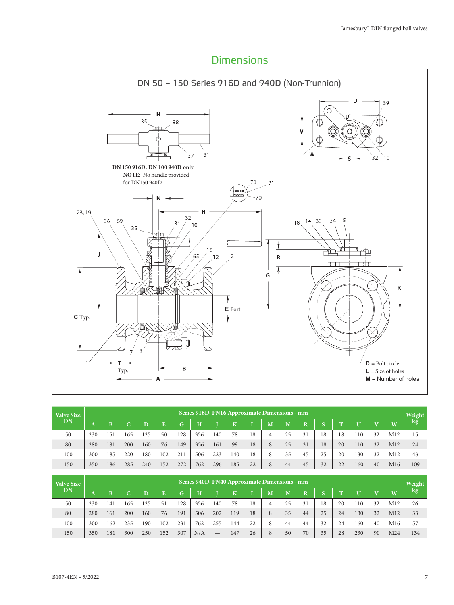## Dimensions



| <b>Valve Size</b> |     |     |     |     |     |     | Series 916D, PN16 Approximate Dimensions - mm |     |     |    |   |    |                         |    |    |     |    |     | Weight |
|-------------------|-----|-----|-----|-----|-----|-----|-----------------------------------------------|-----|-----|----|---|----|-------------------------|----|----|-----|----|-----|--------|
| DN                | A   |     | ⌒   |     | E   | G.  | H                                             |     | K   | Ī. | M | N  | $\overline{\textbf{R}}$ |    | m  | Ū   | T  | W   | $\log$ |
| 50                | 230 | 151 | 165 | 125 | 50  | 128 | 356                                           | 140 | 78  | 18 | 4 | 25 | 31                      | 18 | 18 | 10  | 32 | M12 | 15     |
| 80                | 280 | 181 | 200 | 160 | 76  | 149 | 356                                           | 161 | 99  | 18 | 8 | 25 | 31                      | 18 | 20 | 10  | 32 | M12 | 24     |
| 100               | 300 | 185 | 220 | 180 | 102 | 211 | 506                                           | 223 | 140 | 18 | 8 | 35 | 45                      | 25 | 20 | :30 | 32 | M12 | 43     |
| 150               | 350 | 186 | 285 | 240 | 152 | 272 | 762                                           | 296 | 185 | 22 | 8 | 44 | 45                      | 32 | 22 | 160 | 40 | M16 | 109    |

| <b>Valve Size</b> | Series 940D, PN40 Approximate Dimensions - mm |     |     |     |     |     |     |              |     |    |   |    |    |    |            | Weight |    |                 |     |
|-------------------|-----------------------------------------------|-----|-----|-----|-----|-----|-----|--------------|-----|----|---|----|----|----|------------|--------|----|-----------------|-----|
| DN                | A                                             | R   |     |     | E   | G.  | H   |              | K   |    | M | N  |    |    | <b>PRI</b> |        |    | W               | kg  |
| 50                | 230                                           | 141 | 165 | 125 | 51  | 128 | 356 | $ 40\rangle$ | 78  | 18 | 4 | 25 | 31 | 18 | 20         | 110    | 32 | M <sub>12</sub> | 26  |
| 80                | 280                                           | 161 | 200 | 160 | 76  | 191 | 506 | 202          | 119 | 18 | 8 | 35 | 44 | 25 | 24         | 130    | 32 | M12             | 33  |
| 100               | 300                                           | 162 | 235 | 190 | 102 | 231 | 762 | 255          | 144 | 22 | 8 | 44 | 44 | 32 | 24         | 160    | 40 | M <sub>16</sub> | 57  |
| 150               | 350                                           | 181 | 300 | 250 | 152 | 307 | N/A |              | 147 | 26 | 8 | 50 | 70 | 35 | 28         | 230    | 90 | M24             | 134 |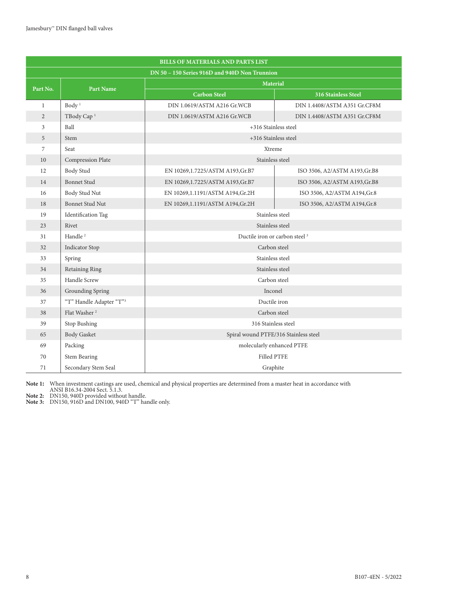|                  |                           | <b>BILLS OF MATERIALS AND PARTS LIST</b>      |                               |
|------------------|---------------------------|-----------------------------------------------|-------------------------------|
|                  |                           | DN 50 - 150 Series 916D and 940D Non Trunnion |                               |
| Part No.         |                           | <b>Material</b>                               |                               |
|                  | <b>Part Name</b>          | <b>Carbon Steel</b>                           | 316 Stainless Steel           |
| $\mathbf{1}$     | Body <sup>1</sup>         | DIN 1.0619/ASTM A216 Gr.WCB                   | DIN 1.4408/ASTM A351 Gr.CF8M  |
| 2                | TBody Cap <sup>1</sup>    | DIN 1.0619/ASTM A216 Gr.WCB                   | DIN 1.4408/ASTM A351 Gr.CF8M  |
| 3                | Ball                      | +316 Stainless steel                          |                               |
| 5                | Stem                      | +316 Stainless steel                          |                               |
| $\overline{7}$   | Seat                      | Xtreme                                        |                               |
| 10 <sup>10</sup> | Compression Plate         | Stainless steel                               |                               |
| 12               | <b>Body Stud</b>          | EN 10269,1.7225/ASTM A193, Gr.B7              | ISO 3506, A2/ASTM A193, Gr.B8 |
| 14               | <b>Bonnet Stud</b>        | EN 10269,1.7225/ASTM A193, Gr.B7              | ISO 3506, A2/ASTM A193, Gr.B8 |
| 16               | Body Stud Nut             | EN 10269,1.1191/ASTM A194, Gr.2H              | ISO 3506, A2/ASTM A194, Gr.8  |
| 18               | <b>Bonnet Stud Nut</b>    | EN 10269,1.1191/ASTM A194, Gr.2H              | ISO 3506, A2/ASTM A194, Gr.8  |
| 19               | <b>Identification Tag</b> | Stainless steel                               |                               |
| 23               | Rivet                     | Stainless steel                               |                               |
| 31               | Handle <sup>2</sup>       | Ductile iron or carbon steel <sup>3</sup>     |                               |
| 32               | <b>Indicator Stop</b>     | Carbon steel                                  |                               |
| 33               | Spring                    | Stainless steel                               |                               |
| 34               | <b>Retaining Ring</b>     | Stainless steel                               |                               |
| 35               | Handle Screw              | Carbon steel                                  |                               |
| 36               | Grounding Spring          | Inconel                                       |                               |
| 37               | "T" Handle Adapter "T"3   | Ductile iron                                  |                               |
| 38               | Flat Washer <sup>2</sup>  | Carbon steel                                  |                               |
| 39               | Stop Bushing              | 316 Stainless steel                           |                               |
| 65               | <b>Body Gasket</b>        | Spiral wound PTFE/316 Stainless steel         |                               |
| 69               | Packing                   | molecularly enhanced PTFE                     |                               |
| 70               | <b>Stem Bearing</b>       | Filled PTFE                                   |                               |
| 71               | Secondary Stem Seal       | Graphite                                      |                               |

**Note 1:** When investment castings are used, chemical and physical properties are determined from a master heat in accordance with

ANSI B16.34-2004 Sect. 5.1.3. **Note 2:** DN150, 940D provided without handle.

**Note 3:** DN150, 916D and DN100, 940D "T" handle only.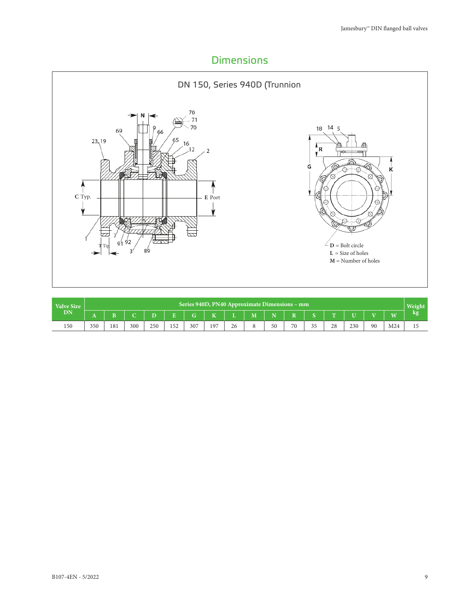## Dimensions



| <b>Valve Size</b> | Series 940D, PN40 Approximate Dimensions - mm                                                       |     |     |     |     |     |     |    |               |    |    |                  |    |     |    | weignt          |    |
|-------------------|-----------------------------------------------------------------------------------------------------|-----|-----|-----|-----|-----|-----|----|---------------|----|----|------------------|----|-----|----|-----------------|----|
| DN                | m<br>TZ<br>N<br>M<br><b>TT</b><br>$\overline{\mathbf{r}}$<br>W.<br>G.<br>T.<br>$\sqrt{ }$<br>r<br>. |     |     |     |     |     |     |    |               |    |    |                  |    | kg  |    |                 |    |
| 150               | 350                                                                                                 | 181 | 300 | 250 | 152 | 307 | 197 | 26 | $\Omega$<br>Ω | 50 | 70 | $\sim$ $-$<br>35 | 28 | 230 | 90 | M <sub>24</sub> | ⊥◡ |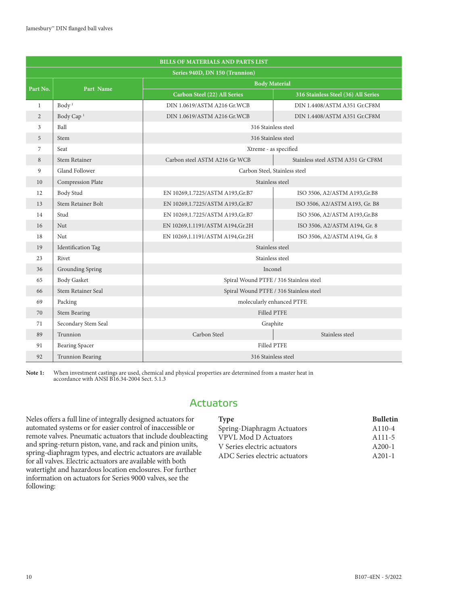|                |                           | <b>BILLS OF MATERIALS AND PARTS LIST</b> |                                     |
|----------------|---------------------------|------------------------------------------|-------------------------------------|
|                |                           | Series 940D, DN 150 (Trunnion)           |                                     |
| Part No.       | Part Name                 | <b>Body Material</b>                     |                                     |
|                |                           | Carbon Steel (22) All Series             | 316 Stainless Steel (36) All Series |
| 1              | Body <sup>1</sup>         | DIN 1.0619/ASTM A216 Gr.WCB              | DIN 1.4408/ASTM A351 Gr.CF8M        |
| $\overline{2}$ | Body Cap <sup>1</sup>     | DIN 1.0619/ASTM A216 Gr.WCB              | DIN 1.4408/ASTM A351 Gr.CF8M        |
| 3              | Ball                      | 316 Stainless steel                      |                                     |
| 5              | <b>Stem</b>               | 316 Stainless steel                      |                                     |
| 7              | Seat                      | Xtreme - as specified                    |                                     |
| 8              | Stem Retainer             | Carbon steel ASTM A216 Gr WCB            | Stainless steel ASTM A351 Gr CF8M   |
| 9              | Gland Follower            | Carbon Steel, Stainless steel            |                                     |
| 10             | Compression Plate         | Stainless steel                          |                                     |
| 12             | Body Stud                 | EN 10269,1.7225/ASTM A193, Gr.B7         | ISO 3506, A2/ASTM A193, Gr. B8      |
| 13             | Stem Retainer Bolt        | EN 10269,1.7225/ASTM A193, Gr.B7         | ISO 3506, A2/ASTM A193, Gr. B8      |
| 14             | Stud                      | EN 10269,1.7225/ASTM A193, Gr.B7         | ISO 3506, A2/ASTM A193, Gr.B8       |
| 16             | <b>Nut</b>                | EN 10269,1.1191/ASTM A194, Gr.2H         | ISO 3506, A2/ASTM A194, Gr. 8       |
| 18             | Nut                       | EN 10269,1.1191/ASTM A194,Gr.2H          | ISO 3506, A2/ASTM A194, Gr. 8       |
| 19             | <b>Identification</b> Tag | Stainless steel                          |                                     |
| 23             | Rivet                     | Stainless steel                          |                                     |
| 36             | <b>Grounding Spring</b>   | Inconel                                  |                                     |
| 65             | <b>Body Gasket</b>        | Spiral Wound PTFE / 316 Stainless steel  |                                     |
| 66             | Stem Retainer Seal        | Spiral Wound PTFE / 316 Stainless steel  |                                     |
| 69             | Packing                   | molecularly enhanced PTFE                |                                     |
| 70             | <b>Stem Bearing</b>       | <b>Filled PTFE</b>                       |                                     |
| 71             | Secondary Stem Seal       | Graphite                                 |                                     |
| 89             | Trunnion                  | Carbon Steel                             | Stainless steel                     |
| 91             | <b>Bearing Spacer</b>     | <b>Filled PTFE</b>                       |                                     |
| 92             | <b>Trunnion Bearing</b>   | 316 Stainless steel                      |                                     |

**Note 1:** When investment castings are used, chemical and physical properties are determined from a master heat in accordance with ANSI B16.34-2004 Sect. 5.1.3

## Actuators

| Neles offers a full line of integrally designed actuators for                                                                                                                                                                                                                                                                                                                       | <b>Type</b>                                                                                                               |
|-------------------------------------------------------------------------------------------------------------------------------------------------------------------------------------------------------------------------------------------------------------------------------------------------------------------------------------------------------------------------------------|---------------------------------------------------------------------------------------------------------------------------|
| automated systems or for easier control of inaccessible or<br>remote valves. Pneumatic actuators that include doubleacting<br>and spring-return piston, vane, and rack and pinion units,<br>spring-diaphragm types, and electric actuators are available<br>for all valves. Electric actuators are available with both<br>watertight and hazardous location enclosures. For further | Spring-Diaphragm Actuators<br><b>VPVL Mod D Actuators</b><br>V Series electric actuators<br>ADC Series electric actuators |
| information on actuators for Series 9000 valves, see the                                                                                                                                                                                                                                                                                                                            |                                                                                                                           |

**Type Bulletin** A110-4 A111-5  $A200-1$ A201-1

following: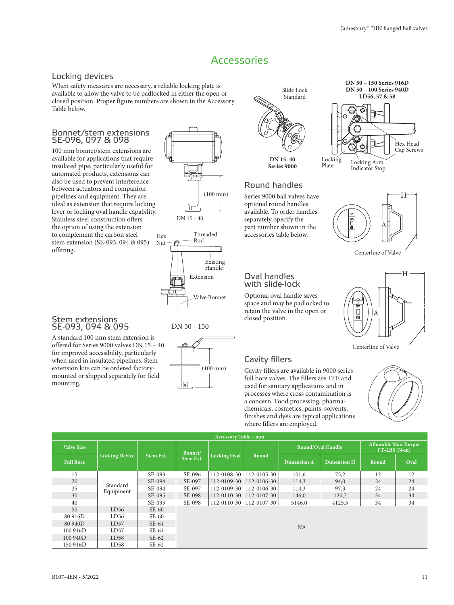## **Accessories**

#### Locking devices

When safety measures are necessary, a reliable locking plate is available to allow the valve to be padlocked in either the open or closed position. Proper figure numbers are shown in the Accessory Table below.

#### Bonnet/stem extensions SE-096, 097 & 098

100 mm bonnet/stem extensions are available for applications that require insulated pipe, particularly useful for automated products, extensions can also be used to prevent interference between actuators and companion pipelines and equipment. They are ideal as extension that require locking lever or locking oval handle capability. Stainless steel construction offers the option of using the extension to complement the carbon steel stem extension (SE-093, 094 & 095) offering.

#### Stem extensions SE-093, 094 & 095

A standard 100 mm stem extension is offered for Series 9000 valves DN 15 – 40 for improved accessibility, particularly when used in insulated pipelines. Stem extension kits can be ordered factorymounted or shipped separately for field mounting.













Locking Arm Indicator Stop

**Series 9000**

Locking<br>Plate

## Round handles

Series 9000 ball valves have **H** optional round handles available. To order handles separately, specify the part number shown in the accessories table below.

#### Oval handles with slide-lock

Optional oval handle saves space and may be padlocked to retain the valve in the open or closed position.



# A H

Centerline of Valve

## Cavity fillers

Cavity fillers are available in 9000 series full bore valves. The fillers are TFE and used for sanitary applications and in processes where cross contamination is a concern. Food processing, pharmachemicals, cosmetics, paints, solvents, finishes and dyes are typical applications where fillers are employed.



|                   |                       |           |           | <b>Accessory Table - mm</b> |                           |                    |                          |                                      |      |  |  |  |  |
|-------------------|-----------------------|-----------|-----------|-----------------------------|---------------------------|--------------------|--------------------------|--------------------------------------|------|--|--|--|--|
| <b>Valve Size</b> |                       |           | Bonnet/   |                             |                           |                    | <b>Round/Oval Handle</b> | Allowable Max. Torque<br>FT·LBS(N·m) |      |  |  |  |  |
| <b>Full Bore</b>  | <b>Locking Device</b> | Stem Ext. | Stem Ext. | <b>Locking Oval</b>         | Round                     | <b>Dimension A</b> | <b>Dimension H</b>       | Round                                | Oval |  |  |  |  |
| 15                |                       | SE-093    | SE-096    | $112 - 0108 - 30$           | 112-0105-30               | 101,6              | 75,2                     | 12                                   | 12   |  |  |  |  |
| 20                |                       | SE-094    | SE-097    | $112 - 0109 - 30$           | 112-0106-30               | 114,3              | 94,0                     | 24                                   | 24   |  |  |  |  |
| 25                | Standard<br>Equipment | SE-094    | SE-097    | $112 - 0109 - 30$           | 112-0106-30               | 114,3              | 97,3                     | 24                                   | 24   |  |  |  |  |
| 30                |                       | SE-095    | SE-098    | $112 - 0110 - 30$           | 112-0107-30               | 146,0              | 120,7                    | 34                                   | 34   |  |  |  |  |
| 40                |                       | SE-095    | SE-098    |                             | 112-0110-30   112-0107-30 | 5146,0             | 4125,5                   | 34                                   | 34   |  |  |  |  |
| 50                | LD56                  | $SE-60$   |           |                             |                           |                    |                          |                                      |      |  |  |  |  |
| 80 916D           | LD56                  | $SE-60$   |           |                             |                           |                    |                          |                                      |      |  |  |  |  |
| 80 940D           | LD57                  | $SE-61$   |           |                             |                           |                    |                          |                                      |      |  |  |  |  |
| 100 916D          | LD57                  | $SE-61$   | <b>NA</b> |                             |                           |                    |                          |                                      |      |  |  |  |  |
| 100940D           | LD58                  | $SE-62$   |           |                             |                           |                    |                          |                                      |      |  |  |  |  |
| 150 916D          | LD58                  | $SE-62$   |           |                             |                           |                    |                          |                                      |      |  |  |  |  |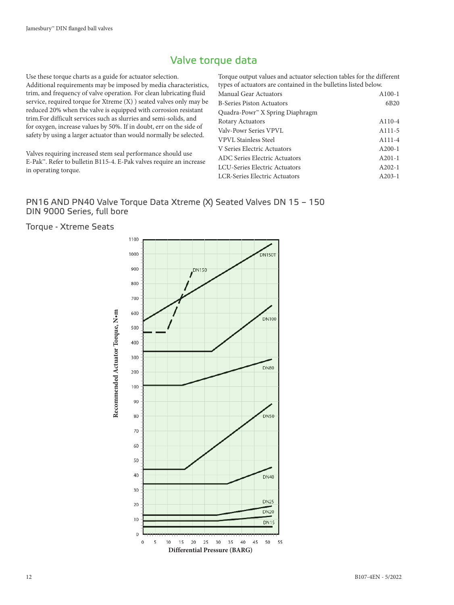## Valve torque data

Use these torque charts as a guide for actuator selection. Additional requirements may be imposed by media characteristics, trim, and frequency of valve operation. For clean lubricating fluid service, required torque for Xtreme (X) ) seated valves only may be reduced 20% when the valve is equipped with corrosion resistant trim.For difficult services such as slurries and semi-solids, and for oxygen, increase values by 50%. If in doubt, err on the side of safety by using a larger actuator than would normally be selected.

Valves requiring increased stem seal performance should use E-Pak™. Refer to bulletin B115-4. E-Pak valves require an increase in operating torque.

Torque output values and actuator selection tables for the different types of actuators are contained in the bulletins listed below.

| <b>Manual Gear Actuators</b>                | A100-1   |
|---------------------------------------------|----------|
| <b>B-Series Piston Actuators</b>            | 6B20     |
| Quadra-Powr <sup>™</sup> X Spring Diaphragm |          |
| Rotary Actuators                            | $A110-4$ |
| Valv-Powr Series VPVL                       | A111-5   |
| <b>VPVL</b> Stainless Steel                 | $A111-4$ |
| V Series Electric Actuators                 | $A200-1$ |
| ADC Series Electric Actuators               | $A201-1$ |
| LCU-Series Electric Actuators               | $A202-1$ |
| LCR-Series Electric Actuators               | $A203-1$ |
|                                             |          |

## PN16 AND PN40 Valve Torque Data Xtreme (X) Seated Valves DN 15 – 150 DIN 9000 Series, full bore

Torque - Xtreme Seats

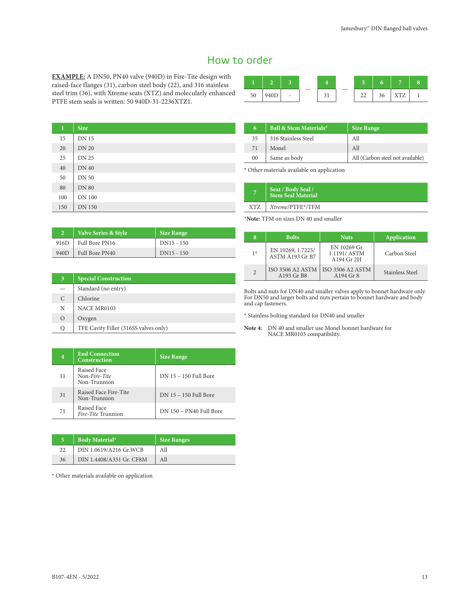## How to order

**EXAMPLE:** A DN50, PN40 valve (940D) in Fire-Tite design with raised-face flanges (31), carbon steel body (22), and 316 stainless steel trim (36), with Xtreme seats (XTZ) and molecularly enhanced PTFE stem seals is written: 50 940D-31-2236XTZ1.



| $\bf{1}$ | <b>Size</b>   |
|----------|---------------|
| 15       | <b>DN 15</b>  |
| 20       | <b>DN 20</b>  |
| 25       | <b>DN 25</b>  |
| 40       | <b>DN 40</b>  |
| 50       | <b>DN 50</b>  |
| 80       | <b>DN 80</b>  |
| 100      | <b>DN 100</b> |
| 150      | <b>DN 150</b> |

| 6.             | Ball & Stem Materials* | <b>Size Range</b>                |
|----------------|------------------------|----------------------------------|
| 35             | 316 Stainless Steel    | All                              |
| 71             | Monel                  | All                              |
| 0 <sup>0</sup> | Same as body           | All (Carbon steel not available) |

\* Other materials available on application

|     | Seat / Body Seal /<br>Stem Seal Material |
|-----|------------------------------------------|
| XTZ | Xtreme/PTFE*/TFM                         |

\***Note:** TFM on sizes DN 40 and smaller

| 2                | Valve Series & Style | <b>Size Range</b> |
|------------------|----------------------|-------------------|
| 916D             | Full Bore PN16       | $DN15 - 150$      |
| 940 <sub>D</sub> | Full Bore PN40       | $DN15 - 150$      |

| 3 | <b>Special Construction</b>           |
|---|---------------------------------------|
| - | Standard (no entry)                   |
| C | Chlorine                              |
| Ν | NACE MR0103                           |
| O | Oxygen                                |
| Ő | TFE Cavity Filler (316SS valves only) |

| 4  | <b>End Connection</b><br><b>Construction</b> | <b>Size Range</b>       |
|----|----------------------------------------------|-------------------------|
| 11 | Raised Face<br>Non-Fire-Tite<br>Non-Trunnion | DN 15 - 150 Full Bore   |
| 31 | Raised Face Fire-Tite<br>Non-Trunnion        | $DN 15 - 150$ Full Bore |
| 71 | Raised Face<br>Fire-Tite Trunnion            | DN 150 - PN40 Full Bore |

|    | Body Material*           | <b>Size Ranges</b> |
|----|--------------------------|--------------------|
|    | DIN 1.0619/A216 Gr.WCB   | All                |
| 36 | DIN 1.4408/A351 Gr. CF8M | All                |

\* Other materials available on application

| 8.   | <b>Bolts</b>                          | <b>Nuts</b>                               | Application     |
|------|---------------------------------------|-------------------------------------------|-----------------|
| $1*$ | EN 10269, 1.7225/<br>ASTM A193 Gr B7  | EN 10269 Gr<br>1.1191/ ASTM<br>A194 Gr 2H | Carbon Steel    |
|      | <b>ISO 3506 A2 ASTM</b><br>A193 Gr B8 | <b>ISO 3506 A2 ASTM</b><br>A194 Gr 8      | Stainless Steel |

Bolts and nuts for DN40 and smaller valves apply to bonnet hardware only. For DN50 and larger bolts and nuts pertain to bonnet hardware and body and cap fasteners.

\* Stainless bolting standard for DN40 and smaller

**Note 4:** DN 40 and smaller use Monel bonnet hardware for NACE MR0103 compatibility.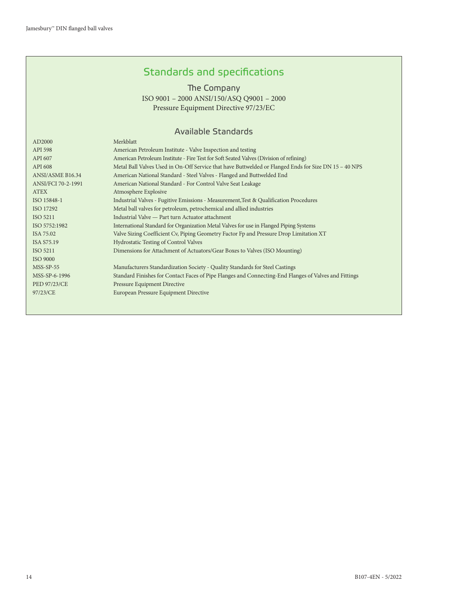## Standards and specifications

The Company

ISO 9001 – 2000 ANSI/150/ASQ Q9001 – 2000 Pressure Equipment Directive 97/23/EC

## Available Standards

| AD2000             | Merkblatt                                                                                             |
|--------------------|-------------------------------------------------------------------------------------------------------|
| <b>API 598</b>     | American Petroleum Institute - Valve Inspection and testing                                           |
| API 607            | American Petroleum Institute - Fire Test for Soft Seated Valves (Division of refining)                |
| API 608            | Metal Ball Valves Used in On-Off Service that have Buttwelded or Flanged Ends for Size DN 15 - 40 NPS |
| ANSI/ASME B16.34   | American National Standard - Steel Valves - Flanged and Buttwelded End                                |
| ANSI/FCI 70-2-1991 | American National Standard - For Control Valve Seat Leakage                                           |
| <b>ATEX</b>        | Atmosphere Explosive                                                                                  |
| ISO 15848-1        | Industrial Valves - Fugitive Emissions - Measurement, Test & Qualification Procedures                 |
| ISO 17292          | Metal ball valves for petroleum, petrochemical and allied industries                                  |
| ISO 5211           | Industrial Valve — Part turn Actuator attachment                                                      |
| ISO 5752:1982      | International Standard for Organization Metal Valves for use in Flanged Piping Systems                |
| ISA 75.02          | Valve Sizing Coefficient Cv, Piping Geometry Factor Fp and Pressure Drop Limitation XT                |
| ISA \$75.19        | Hydrostatic Testing of Control Valves                                                                 |
| ISO 5211           | Dimensions for Attachment of Actuators/Gear Boxes to Valves (ISO Mounting)                            |
| ISO 9000           |                                                                                                       |
| $MSS-SP-55$        | Manufacturers Standardization Society - Quality Standards for Steel Castings                          |
| MSS-SP-6-1996      | Standard Finishes for Contact Faces of Pipe Flanges and Connecting-End Flanges of Valves and Fittings |
| PED 97/23/CE       | <b>Pressure Equipment Directive</b>                                                                   |
| 97/23/CE           | European Pressure Equipment Directive                                                                 |
|                    |                                                                                                       |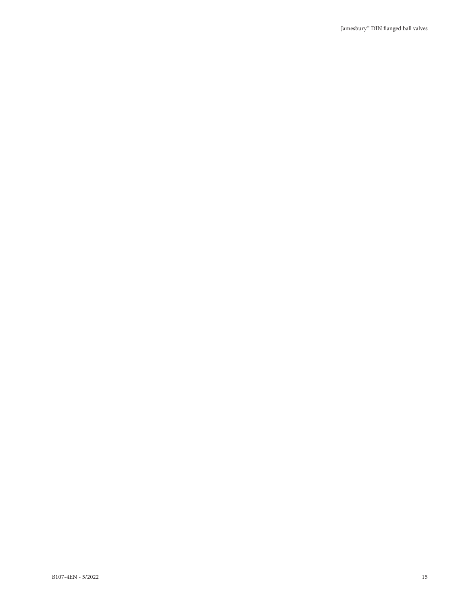Jamesbury™ DIN flanged ball valves